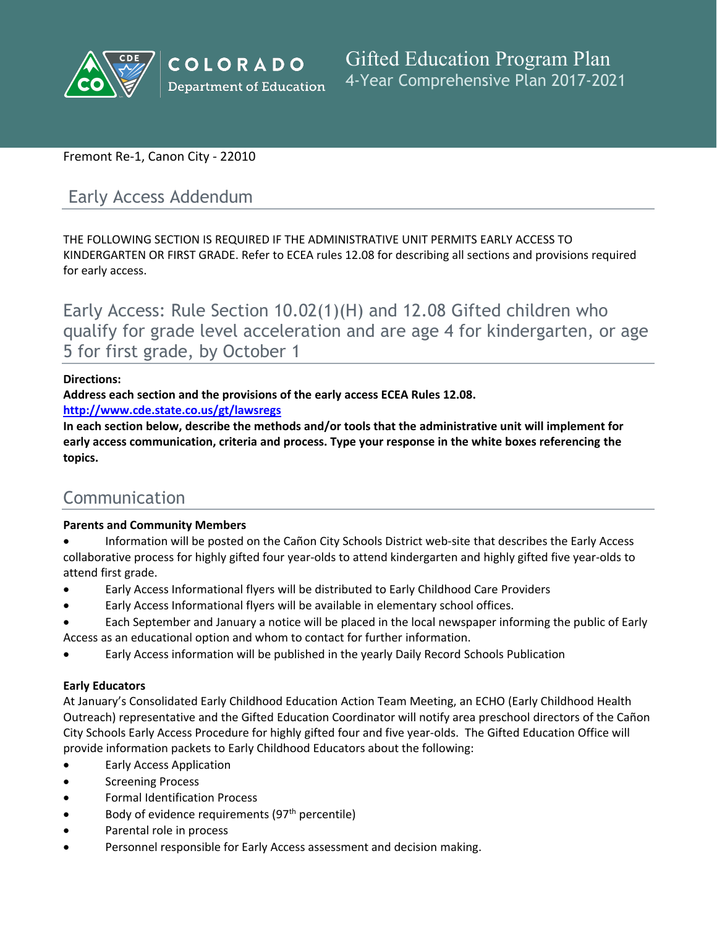

# Fremont Re-1, Canon City - 22010

# Early Access Addendum

THE FOLLOWING SECTION IS REQUIRED IF THE ADMINISTRATIVE UNIT PERMITS EARLY ACCESS TO KINDERGARTEN OR FIRST GRADE. Refer to ECEA rules 12.08 for describing all sections and provisions required for early access.

Early Access: Rule Section 10.02(1)(H) and 12.08 Gifted children who qualify for grade level acceleration and are age 4 for kindergarten, or age 5 for first grade, by October 1

# **Directions:**

**Address each section and the provisions of the early access ECEA Rules 12.08.**

**<http://www.cde.state.co.us/gt/lawsregs>**

**In each section below, describe the methods and/or tools that the administrative unit will implement for early access communication, criteria and process. Type your response in the white boxes referencing the topics.**

# Communication

# **Parents and Community Members**

- Information will be posted on the Cañon City Schools District web-site that describes the Early Access collaborative process for highly gifted four year-olds to attend kindergarten and highly gifted five year-olds to attend first grade.
- Early Access Informational flyers will be distributed to Early Childhood Care Providers
- Early Access Informational flyers will be available in elementary school offices.
- Each September and January a notice will be placed in the local newspaper informing the public of Early Access as an educational option and whom to contact for further information.
- Early Access information will be published in the yearly Daily Record Schools Publication

## **Early Educators**

At January's Consolidated Early Childhood Education Action Team Meeting, an ECHO (Early Childhood Health Outreach) representative and the Gifted Education Coordinator will notify area preschool directors of the Cañon City Schools Early Access Procedure for highly gifted four and five year-olds. The Gifted Education Office will provide information packets to Early Childhood Educators about the following:

- **•** Early Access Application
- Screening Process
- Formal Identification Process
- Body of evidence requirements (97<sup>th</sup> percentile)
- Parental role in process
- Personnel responsible for Early Access assessment and decision making.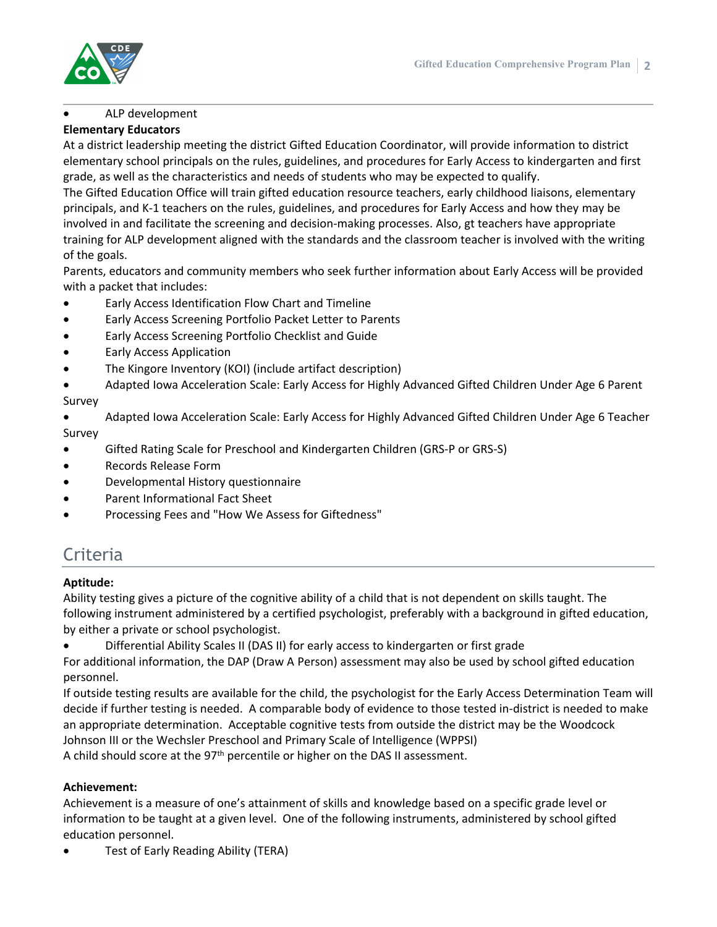

## ALP development

## **Elementary Educators**

At a district leadership meeting the district Gifted Education Coordinator, will provide information to district elementary school principals on the rules, guidelines, and procedures for Early Access to kindergarten and first grade, as well as the characteristics and needs of students who may be expected to qualify.

The Gifted Education Office will train gifted education resource teachers, early childhood liaisons, elementary principals, and K-1 teachers on the rules, guidelines, and procedures for Early Access and how they may be involved in and facilitate the screening and decision-making processes. Also, gt teachers have appropriate training for ALP development aligned with the standards and the classroom teacher is involved with the writing of the goals.

Parents, educators and community members who seek further information about Early Access will be provided with a packet that includes:

- Early Access Identification Flow Chart and Timeline
- Early Access Screening Portfolio Packet Letter to Parents
- Early Access Screening Portfolio Checklist and Guide
- Early Access Application
- The Kingore Inventory (KOI) (include artifact description)
- Adapted Iowa Acceleration Scale: Early Access for Highly Advanced Gifted Children Under Age 6 Parent

## Survey

- Adapted Iowa Acceleration Scale: Early Access for Highly Advanced Gifted Children Under Age 6 Teacher Survey
- Gifted Rating Scale for Preschool and Kindergarten Children (GRS-P or GRS-S)
- Records Release Form
- Developmental History questionnaire
- Parent Informational Fact Sheet
- Processing Fees and "How We Assess for Giftedness"

# Criteria

## **Aptitude:**

Ability testing gives a picture of the cognitive ability of a child that is not dependent on skills taught. The following instrument administered by a certified psychologist, preferably with a background in gifted education, by either a private or school psychologist.

Differential Ability Scales II (DAS II) for early access to kindergarten or first grade

For additional information, the DAP (Draw A Person) assessment may also be used by school gifted education personnel.

If outside testing results are available for the child, the psychologist for the Early Access Determination Team will decide if further testing is needed. A comparable body of evidence to those tested in-district is needed to make an appropriate determination. Acceptable cognitive tests from outside the district may be the Woodcock Johnson III or the Wechsler Preschool and Primary Scale of Intelligence (WPPSI)

A child should score at the 97<sup>th</sup> percentile or higher on the DAS II assessment.

# **Achievement:**

Achievement is a measure of one's attainment of skills and knowledge based on a specific grade level or information to be taught at a given level. One of the following instruments, administered by school gifted education personnel.

Test of Early Reading Ability (TERA)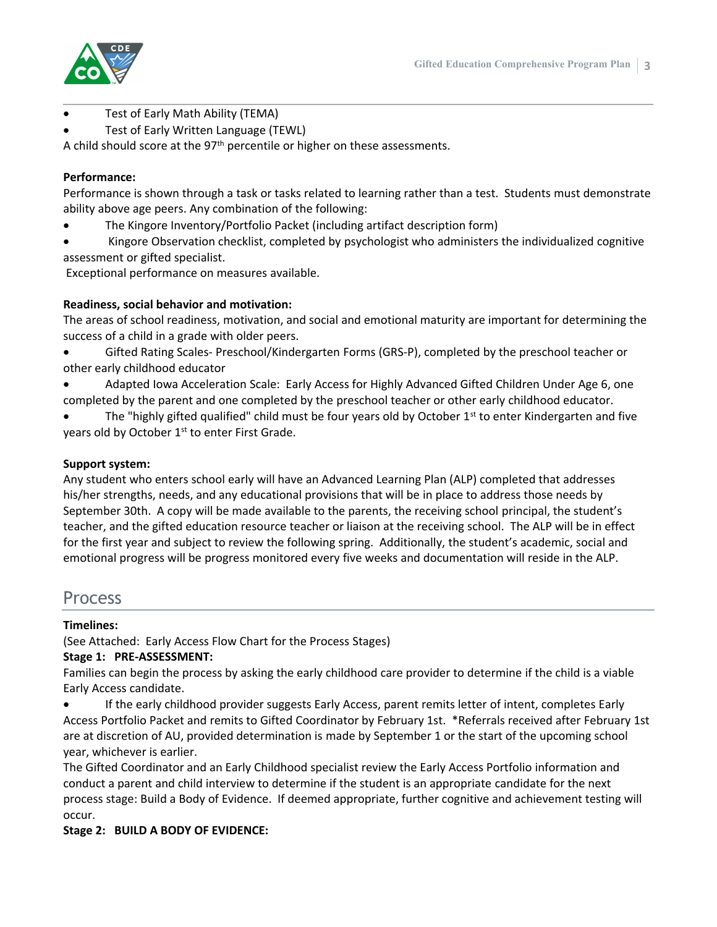

- Test of Early Math Ability (TEMA)
- Test of Early Written Language (TEWL)

A child should score at the 97<sup>th</sup> percentile or higher on these assessments.

# **Performance:**

Performance is shown through a task or tasks related to learning rather than a test. Students must demonstrate ability above age peers. Any combination of the following:

The Kingore Inventory/Portfolio Packet (including artifact description form)

 Kingore Observation checklist, completed by psychologist who administers the individualized cognitive assessment or gifted specialist.

Exceptional performance on measures available.

# **Readiness, social behavior and motivation:**

The areas of school readiness, motivation, and social and emotional maturity are important for determining the success of a child in a grade with older peers.

- Gifted Rating Scales- Preschool/Kindergarten Forms (GRS-P), completed by the preschool teacher or other early childhood educator
- Adapted Iowa Acceleration Scale: Early Access for Highly Advanced Gifted Children Under Age 6, one completed by the parent and one completed by the preschool teacher or other early childhood educator.
- The "highly gifted qualified" child must be four years old by October 1<sup>st</sup> to enter Kindergarten and five years old by October 1<sup>st</sup> to enter First Grade.

## **Support system:**

Any student who enters school early will have an Advanced Learning Plan (ALP) completed that addresses his/her strengths, needs, and any educational provisions that will be in place to address those needs by September 30th. A copy will be made available to the parents, the receiving school principal, the student's teacher, and the gifted education resource teacher or liaison at the receiving school. The ALP will be in effect for the first year and subject to review the following spring. Additionally, the student's academic, social and emotional progress will be progress monitored every five weeks and documentation will reside in the ALP.

# Process

## **Timelines:**

(See Attached: Early Access Flow Chart for the Process Stages)

# **Stage 1: PRE-ASSESSMENT:**

Families can begin the process by asking the early childhood care provider to determine if the child is a viable Early Access candidate.

 If the early childhood provider suggests Early Access, parent remits letter of intent, completes Early Access Portfolio Packet and remits to Gifted Coordinator by February 1st. \*Referrals received after February 1st are at discretion of AU, provided determination is made by September 1 or the start of the upcoming school year, whichever is earlier.

The Gifted Coordinator and an Early Childhood specialist review the Early Access Portfolio information and conduct a parent and child interview to determine if the student is an appropriate candidate for the next process stage: Build a Body of Evidence. If deemed appropriate, further cognitive and achievement testing will occur.

## **Stage 2: BUILD A BODY OF EVIDENCE:**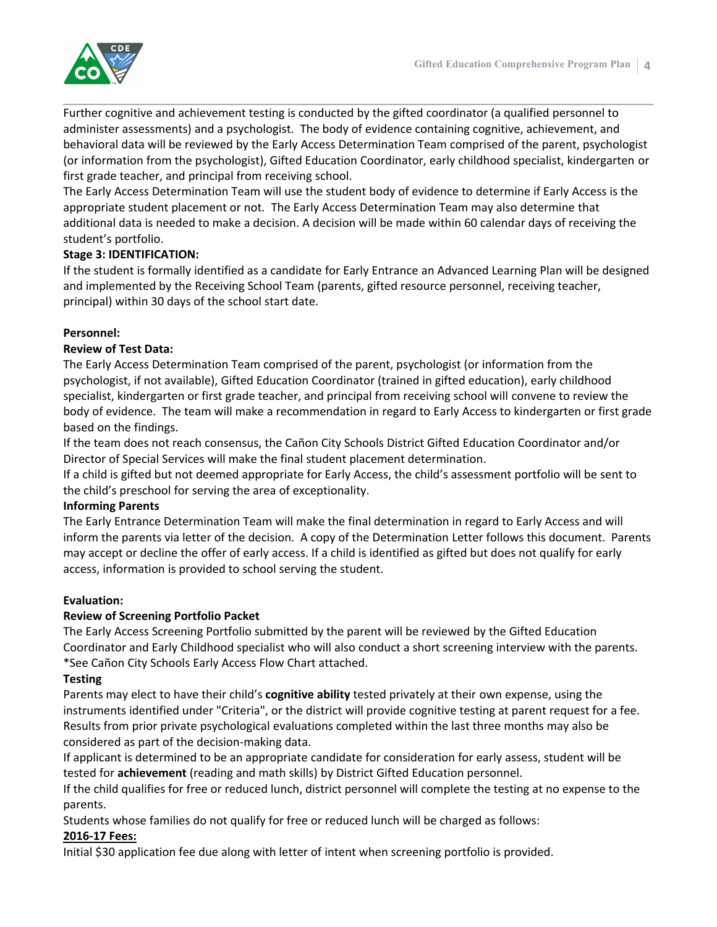

Further cognitive and achievement testing is conducted by the gifted coordinator (a qualified personnel to administer assessments) and a psychologist. The body of evidence containing cognitive, achievement, and behavioral data will be reviewed by the Early Access Determination Team comprised of the parent, psychologist (or information from the psychologist), Gifted Education Coordinator, early childhood specialist, kindergarten or first grade teacher, and principal from receiving school.

The Early Access Determination Team will use the student body of evidence to determine if Early Access is the appropriate student placement or not. The Early Access Determination Team may also determine that additional data is needed to make a decision. A decision will be made within 60 calendar days of receiving the student's portfolio.

# **Stage 3: IDENTIFICATION:**

If the student is formally identified as a candidate for Early Entrance an Advanced Learning Plan will be designed and implemented by the Receiving School Team (parents, gifted resource personnel, receiving teacher, principal) within 30 days of the school start date.

## **Personnel:**

#### **Review of Test Data:**

The Early Access Determination Team comprised of the parent, psychologist (or information from the psychologist, if not available), Gifted Education Coordinator (trained in gifted education), early childhood specialist, kindergarten or first grade teacher, and principal from receiving school will convene to review the body of evidence. The team will make a recommendation in regard to Early Access to kindergarten or first grade based on the findings.

If the team does not reach consensus, the Cañon City Schools District Gifted Education Coordinator and/or Director of Special Services will make the final student placement determination.

If a child is gifted but not deemed appropriate for Early Access, the child's assessment portfolio will be sent to the child's preschool for serving the area of exceptionality.

#### **Informing Parents**

The Early Entrance Determination Team will make the final determination in regard to Early Access and will inform the parents via letter of the decision. A copy of the Determination Letter follows this document. Parents may accept or decline the offer of early access. If a child is identified as gifted but does not qualify for early access, information is provided to school serving the student.

#### **Evaluation:**

#### **Review of Screening Portfolio Packet**

The Early Access Screening Portfolio submitted by the parent will be reviewed by the Gifted Education Coordinator and Early Childhood specialist who will also conduct a short screening interview with the parents. \*See Cañon City Schools Early Access Flow Chart attached.

#### **Testing**

Parents may elect to have their child's **cognitive ability** tested privately at their own expense, using the instruments identified under "Criteria", or the district will provide cognitive testing at parent request for a fee. Results from prior private psychological evaluations completed within the last three months may also be considered as part of the decision-making data.

If applicant is determined to be an appropriate candidate for consideration for early assess, student will be tested for **achievement** (reading and math skills) by District Gifted Education personnel.

If the child qualifies for free or reduced lunch, district personnel will complete the testing at no expense to the parents.

Students whose families do not qualify for free or reduced lunch will be charged as follows:

## **2016-17 Fees:**

Initial \$30 application fee due along with letter of intent when screening portfolio is provided.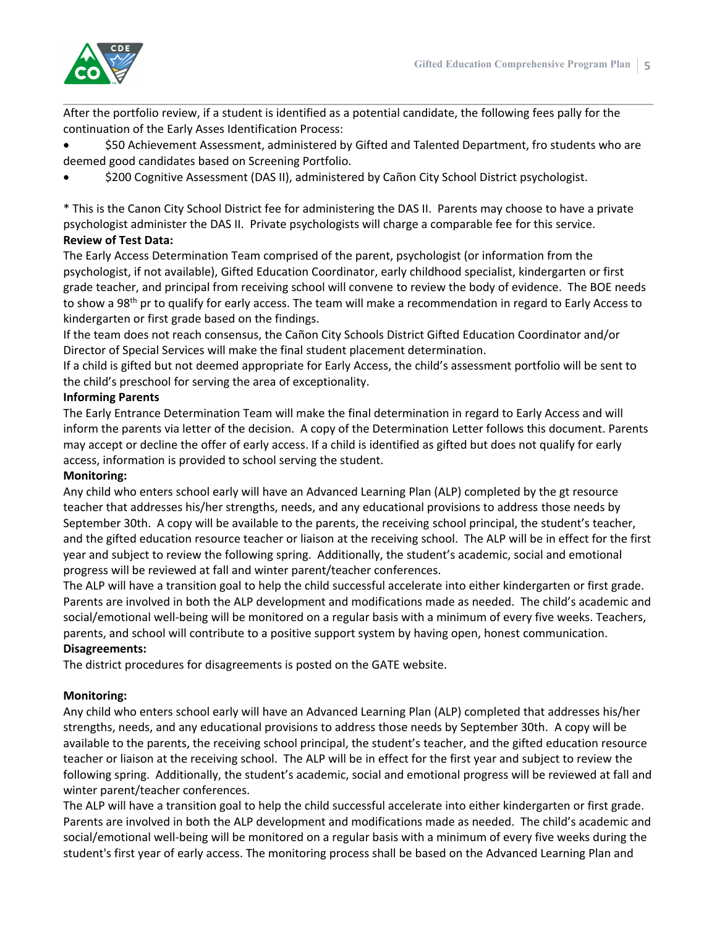

After the portfolio review, if a student is identified as a potential candidate, the following fees pally for the continuation of the Early Asses Identification Process:

- \$50 Achievement Assessment, administered by Gifted and Talented Department, fro students who are deemed good candidates based on Screening Portfolio.
- \$200 Cognitive Assessment (DAS II), administered by Cañon City School District psychologist.

\* This is the Canon City School District fee for administering the DAS II. Parents may choose to have a private psychologist administer the DAS II. Private psychologists will charge a comparable fee for this service.

# **Review of Test Data:**

The Early Access Determination Team comprised of the parent, psychologist (or information from the psychologist, if not available), Gifted Education Coordinator, early childhood specialist, kindergarten or first grade teacher, and principal from receiving school will convene to review the body of evidence. The BOE needs to show a 98<sup>th</sup> pr to qualify for early access. The team will make a recommendation in regard to Early Access to kindergarten or first grade based on the findings.

If the team does not reach consensus, the Cañon City Schools District Gifted Education Coordinator and/or Director of Special Services will make the final student placement determination.

If a child is gifted but not deemed appropriate for Early Access, the child's assessment portfolio will be sent to the child's preschool for serving the area of exceptionality.

## **Informing Parents**

The Early Entrance Determination Team will make the final determination in regard to Early Access and will inform the parents via letter of the decision. A copy of the Determination Letter follows this document. Parents may accept or decline the offer of early access. If a child is identified as gifted but does not qualify for early access, information is provided to school serving the student.

## **Monitoring:**

Any child who enters school early will have an Advanced Learning Plan (ALP) completed by the gt resource teacher that addresses his/her strengths, needs, and any educational provisions to address those needs by September 30th. A copy will be available to the parents, the receiving school principal, the student's teacher, and the gifted education resource teacher or liaison at the receiving school. The ALP will be in effect for the first year and subject to review the following spring. Additionally, the student's academic, social and emotional progress will be reviewed at fall and winter parent/teacher conferences.

The ALP will have a transition goal to help the child successful accelerate into either kindergarten or first grade. Parents are involved in both the ALP development and modifications made as needed. The child's academic and social/emotional well-being will be monitored on a regular basis with a minimum of every five weeks. Teachers, parents, and school will contribute to a positive support system by having open, honest communication.

#### **Disagreements:**

The district procedures for disagreements is posted on the GATE website.

## **Monitoring:**

Any child who enters school early will have an Advanced Learning Plan (ALP) completed that addresses his/her strengths, needs, and any educational provisions to address those needs by September 30th. A copy will be available to the parents, the receiving school principal, the student's teacher, and the gifted education resource teacher or liaison at the receiving school. The ALP will be in effect for the first year and subject to review the following spring. Additionally, the student's academic, social and emotional progress will be reviewed at fall and winter parent/teacher conferences.

The ALP will have a transition goal to help the child successful accelerate into either kindergarten or first grade. Parents are involved in both the ALP development and modifications made as needed. The child's academic and social/emotional well-being will be monitored on a regular basis with a minimum of every five weeks during the student's first year of early access. The monitoring process shall be based on the Advanced Learning Plan and